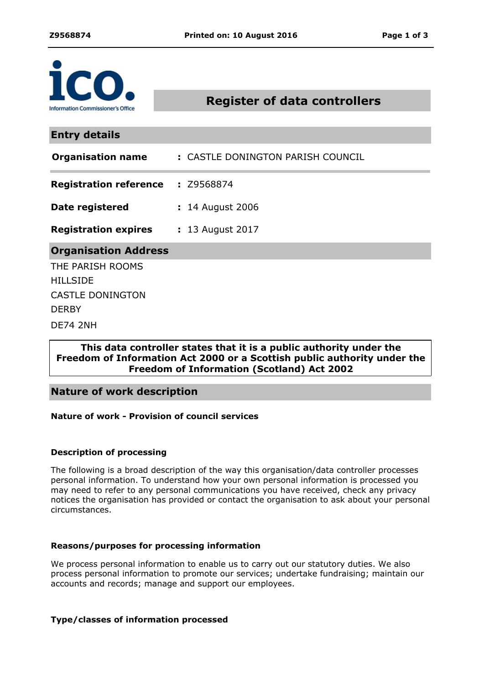

# **Register of data controllers**

**Entry details**

| <b>Organisation name</b>                 | : CASTLE DONINGTON PARISH COUNCIL |
|------------------------------------------|-----------------------------------|
| <b>Registration reference : Z9568874</b> |                                   |
| Date registered                          | : 14 August 2006                  |
| <b>Registration expires</b>              | : 13 August 2017                  |
| <b>Organisation Address</b>              |                                   |
| THE PARISH ROOMS                         |                                   |
| <b>HILLSIDE</b>                          |                                   |
| <b>CASTLE DONINGTON</b>                  |                                   |
| <b>DERBY</b>                             |                                   |
| DE74 2NH                                 |                                   |

### **This data controller states that it is a public authority under the Freedom of Information Act 2000 or a Scottish public authority under the Freedom of Information (Scotland) Act 2002**

## **Nature of work description**

#### **Nature of work - Provision of council services**

#### **Description of processing**

The following is a broad description of the way this organisation/data controller processes personal information. To understand how your own personal information is processed you may need to refer to any personal communications you have received, check any privacy notices the organisation has provided or contact the organisation to ask about your personal circumstances.

#### **Reasons/purposes for processing information**

We process personal information to enable us to carry out our statutory duties. We also process personal information to promote our services; undertake fundraising; maintain our accounts and records; manage and support our employees.

#### **Type/classes of information processed**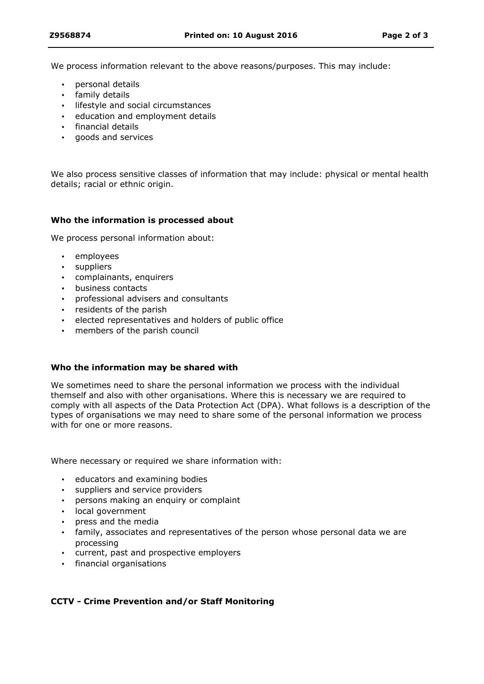We process information relevant to the above reasons/purposes. This may include:

- personal details
- family details
- **·** lifestyle and social circumstances
- education and employment details
- financial details
- goods and services

We also process sensitive classes of information that may include: physical or mental health details; racial or ethnic origin.

#### **Who the information is processed about**

We process personal information about:

- employees
- suppliers
- complainants, enquirers
- business contacts
- professional advisers and consultants
- residents of the parish
- elected representatives and holders of public office
- members of the parish council

#### **Who the information may be shared with**

We sometimes need to share the personal information we process with the individual themself and also with other organisations. Where this is necessary we are required to comply with all aspects of the Data Protection Act (DPA). What follows is a description of the types of organisations we may need to share some of the personal information we process with for one or more reasons.

Where necessary or required we share information with:

- educators and examining bodies
- suppliers and service providers
- persons making an enquiry or complaint
- local government
- press and the media
- family, associates and representatives of the person whose personal data we are processing
- current, past and prospective employers
- financial organisations

#### **CCTV - Crime Prevention and/or Staff Monitoring**